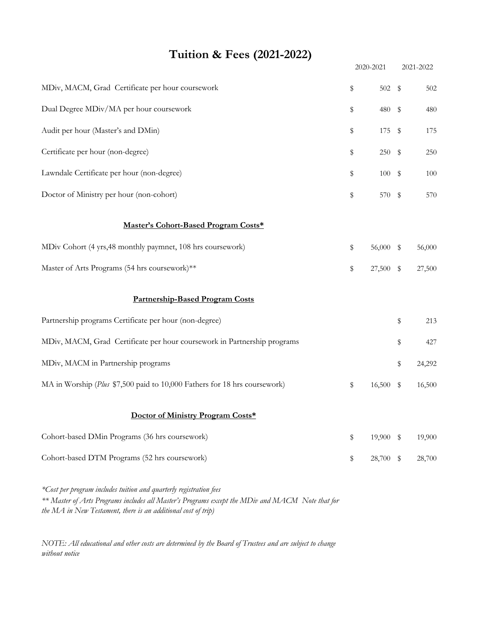## **Tuition & Fees (2021-2022)**

|                                                                           | 2020-2021 |           |            | 2021-2022 |  |
|---------------------------------------------------------------------------|-----------|-----------|------------|-----------|--|
| MDiv, MACM, Grad Certificate per hour coursework                          | \$        | 502 \$    |            | 502       |  |
| Dual Degree MDiv/MA per hour coursework                                   | \$        | 480       | \$         | 480       |  |
| Audit per hour (Master's and DMin)                                        | \$        | 175       | \$         | 175       |  |
| Certificate per hour (non-degree)                                         | \$        | 250       | \$         | 250       |  |
| Lawndale Certificate per hour (non-degree)                                | \$        | $100 - $$ |            | 100       |  |
| Doctor of Ministry per hour (non-cohort)                                  | \$        | 570       | $\sqrt{3}$ | 570       |  |
| Master's Cohort-Based Program Costs*                                      |           |           |            |           |  |
| MDiv Cohort (4 yrs, 48 monthly paymnet, 108 hrs coursework)               | \$        | 56,000 \$ |            | 56,000    |  |
| Master of Arts Programs (54 hrs coursework)**                             | \$        | 27,500 \$ |            | 27,500    |  |
| <b>Partnership-Based Program Costs</b>                                    |           |           |            |           |  |
| Partnership programs Certificate per hour (non-degree)                    |           |           | \$         | 213       |  |
| MDiv, MACM, Grad Certificate per hour coursework in Partnership programs  |           |           | \$         | 427       |  |
| MDiv, MACM in Partnership programs                                        |           |           | \$         | 24,292    |  |
| MA in Worship (Plus \$7,500 paid to 10,000 Fathers for 18 hrs coursework) | \$        | 16,500    | - \$       | 16,500    |  |
| Doctor of Ministry Program Costs*                                         |           |           |            |           |  |
| Cohort-based DMin Programs (36 hrs coursework)                            | \$        | 19,900 \$ |            | 19,900    |  |
| Cohort-based DTM Programs (52 hrs coursework)                             | \$        | 28,700 \$ |            | 28,700    |  |
|                                                                           |           |           |            |           |  |

*\*Cost per program includes tuition and quarterly registration fees \*\* Master of Arts Programs includes all Master's Programs except the MDiv and MACM Note that for the MA in New Testament, there is an additional cost of trip)*

*NOTE: All educational and other costs are determined by the Board of Trustees and are subject to change without notice*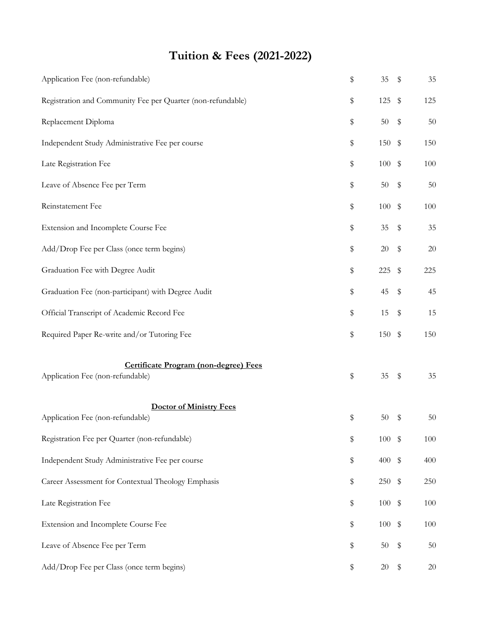## **Tuition & Fees (2021-2022)**

| \$<br>35                               | \$                                | 35                                                                                                                               |
|----------------------------------------|-----------------------------------|----------------------------------------------------------------------------------------------------------------------------------|
| \$<br>125                              | \$                                | 125                                                                                                                              |
| \$<br>$50\,$                           | $\,$                              | 50                                                                                                                               |
| \$<br>150                              | \$                                | 150                                                                                                                              |
| \$<br>$100\,$                          | $\sqrt[6]{\frac{1}{2}}$           | 100                                                                                                                              |
| \$<br>$50\,$                           | \$                                | 50                                                                                                                               |
| \$<br>$100\,$                          | $\sqrt[6]{\frac{1}{2}}$           | $100\,$                                                                                                                          |
| \$<br>$35\,$                           | \$                                | 35                                                                                                                               |
| \$<br>$20\,$                           | \$                                | 20                                                                                                                               |
| \$<br>225                              | \$                                | 225                                                                                                                              |
| \$<br>45                               | $\,$                              | 45                                                                                                                               |
| \$<br>15                               | \$                                | 15                                                                                                                               |
| \$                                     |                                   | 150                                                                                                                              |
| \$<br>$35\,$                           | $\,$                              | $35\,$                                                                                                                           |
|                                        |                                   | $50\,$                                                                                                                           |
|                                        |                                   | $100\,$                                                                                                                          |
|                                        |                                   | 400                                                                                                                              |
|                                        |                                   | 250                                                                                                                              |
|                                        |                                   | 100                                                                                                                              |
|                                        |                                   | 100                                                                                                                              |
|                                        |                                   | 50                                                                                                                               |
| \$<br>20                               | \$                                | 20                                                                                                                               |
| \$<br>\$<br>\$<br>\$<br>\$<br>\$<br>\$ | 50<br>400<br>100<br>$100\,$<br>50 | 150 \$<br>\$<br>$100 - $$<br>$\sqrt[6]{\frac{1}{2}}$<br>250<br>$\sqrt[6]{\frac{1}{2}}$<br>$\boldsymbol{\mathsf{\$}}$<br>\$<br>\$ |